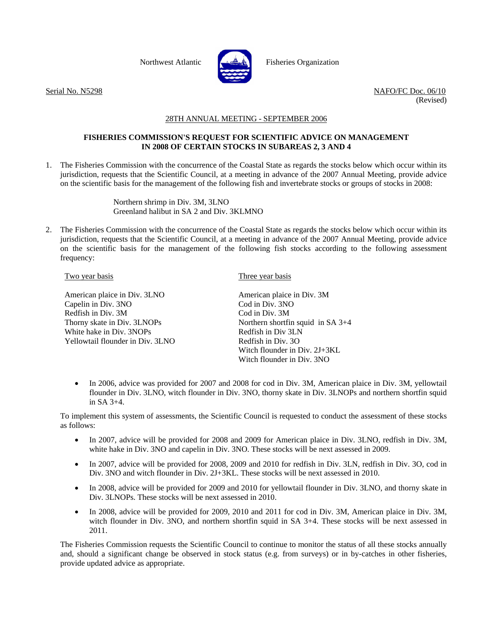

Northwest Atlantic Fisheries Organization

Serial No. N5298 NAFO/FC Doc. 06/10 (Revised)

## 28TH ANNUAL MEETING - SEPTEMBER 2006

## **FISHERIES COMMISSION'S REQUEST FOR SCIENTIFIC ADVICE ON MANAGEMENT IN 2008 OF CERTAIN STOCKS IN SUBAREAS 2, 3 AND 4**

1. The Fisheries Commission with the concurrence of the Coastal State as regards the stocks below which occur within its jurisdiction, requests that the Scientific Council, at a meeting in advance of the 2007 Annual Meeting, provide advice on the scientific basis for the management of the following fish and invertebrate stocks or groups of stocks in 2008:

> Northern shrimp in Div. 3M, 3LNO Greenland halibut in SA 2 and Div. 3KLMNO

2. The Fisheries Commission with the concurrence of the Coastal State as regards the stocks below which occur within its jurisdiction, requests that the Scientific Council, at a meeting in advance of the 2007 Annual Meeting, provide advice on the scientific basis for the management of the following fish stocks according to the following assessment frequency:

## Two year basis

American plaice in Div. 3LNO Capelin in Div. 3NO Redfish in Div. 3M Thorny skate in Div. 3LNOPs White hake in Div. 3NOPs Yellowtail flounder in Div. 3LNO Three year basis

American plaice in Div. 3M Cod in Div. 3NO Cod in Div. 3M Northern shortfin squid in SA 3+4 Redfish in Div 3LN Redfish in Div. 3O Witch flounder in Div. 2J+3KL Witch flounder in Div. 3NO

• In 2006, advice was provided for 2007 and 2008 for cod in Div. 3M, American plaice in Div. 3M, yellowtail flounder in Div. 3LNO, witch flounder in Div. 3NO, thorny skate in Div. 3LNOPs and northern shortfin squid in SA 3+4.

To implement this system of assessments, the Scientific Council is requested to conduct the assessment of these stocks as follows:

- In 2007, advice will be provided for 2008 and 2009 for American plaice in Div. 3LNO, redfish in Div. 3M, white hake in Div. 3NO and capelin in Div. 3NO. These stocks will be next assessed in 2009.
- In 2007, advice will be provided for 2008, 2009 and 2010 for redfish in Div. 3LN, redfish in Div. 3O, cod in Div. 3NO and witch flounder in Div. 2J+3KL. These stocks will be next assessed in 2010.
- In 2008, advice will be provided for 2009 and 2010 for yellowtail flounder in Div. 3LNO, and thorny skate in Div. 3LNOPs. These stocks will be next assessed in 2010.
- In 2008, advice will be provided for 2009, 2010 and 2011 for cod in Div. 3M, American plaice in Div. 3M, witch flounder in Div. 3NO, and northern shortfin squid in SA 3+4. These stocks will be next assessed in 2011.

The Fisheries Commission requests the Scientific Council to continue to monitor the status of all these stocks annually and, should a significant change be observed in stock status (e.g. from surveys) or in by-catches in other fisheries, provide updated advice as appropriate.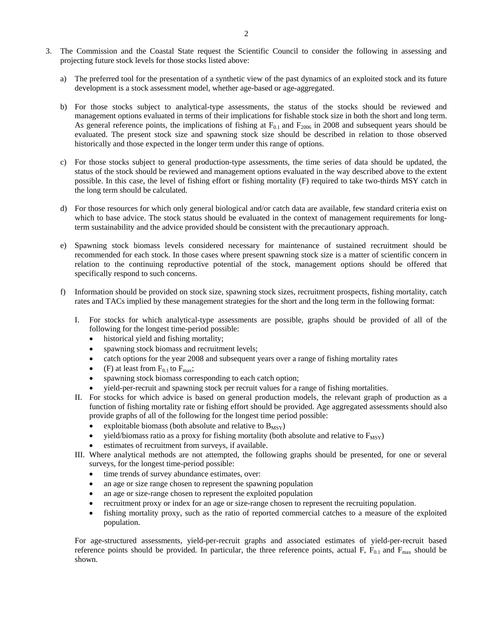- 3. The Commission and the Coastal State request the Scientific Council to consider the following in assessing and projecting future stock levels for those stocks listed above:
	- a) The preferred tool for the presentation of a synthetic view of the past dynamics of an exploited stock and its future development is a stock assessment model, whether age-based or age-aggregated.
	- b) For those stocks subject to analytical-type assessments, the status of the stocks should be reviewed and management options evaluated in terms of their implications for fishable stock size in both the short and long term. As general reference points, the implications of fishing at  $F_{0,1}$  and  $F_{2006}$  in 2008 and subsequent years should be evaluated. The present stock size and spawning stock size should be described in relation to those observed historically and those expected in the longer term under this range of options.
	- c) For those stocks subject to general production-type assessments, the time series of data should be updated, the status of the stock should be reviewed and management options evaluated in the way described above to the extent possible. In this case, the level of fishing effort or fishing mortality (F) required to take two-thirds MSY catch in the long term should be calculated.
	- d) For those resources for which only general biological and/or catch data are available, few standard criteria exist on which to base advice. The stock status should be evaluated in the context of management requirements for longterm sustainability and the advice provided should be consistent with the precautionary approach.
	- e) Spawning stock biomass levels considered necessary for maintenance of sustained recruitment should be recommended for each stock. In those cases where present spawning stock size is a matter of scientific concern in relation to the continuing reproductive potential of the stock, management options should be offered that specifically respond to such concerns.
	- f) Information should be provided on stock size, spawning stock sizes, recruitment prospects, fishing mortality, catch rates and TACs implied by these management strategies for the short and the long term in the following format:
		- I. For stocks for which analytical-type assessments are possible, graphs should be provided of all of the following for the longest time-period possible:
			- historical yield and fishing mortality;
			- spawning stock biomass and recruitment levels;
			- catch options for the year 2008 and subsequent years over a range of fishing mortality rates
			- (F) at least from  $F_{0.1}$  to  $F_{\text{max}}$ ;
			- spawning stock biomass corresponding to each catch option;
			- yield-per-recruit and spawning stock per recruit values for a range of fishing mortalities.
		- II. For stocks for which advice is based on general production models, the relevant graph of production as a function of fishing mortality rate or fishing effort should be provided. Age aggregated assessments should also provide graphs of all of the following for the longest time period possible:
			- exploitable biomass (both absolute and relative to  $B_{MSY}$ )
			- yield/biomass ratio as a proxy for fishing mortality (both absolute and relative to  $F_{\text{MSV}}$ )
			- estimates of recruitment from surveys, if available.
		- III. Where analytical methods are not attempted, the following graphs should be presented, for one or several surveys, for the longest time-period possible:
			- time trends of survey abundance estimates, over:
			- an age or size range chosen to represent the spawning population
			- an age or size-range chosen to represent the exploited population
			- recruitment proxy or index for an age or size-range chosen to represent the recruiting population.
			- fishing mortality proxy, such as the ratio of reported commercial catches to a measure of the exploited population.

For age-structured assessments, yield-per-recruit graphs and associated estimates of yield-per-recruit based reference points should be provided. In particular, the three reference points, actual F,  $F_{0.1}$  and  $F_{\text{max}}$  should be shown.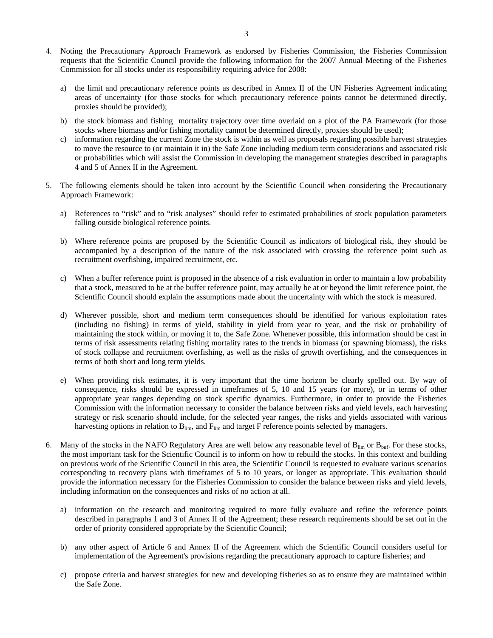- 4. Noting the Precautionary Approach Framework as endorsed by Fisheries Commission, the Fisheries Commission requests that the Scientific Council provide the following information for the 2007 Annual Meeting of the Fisheries Commission for all stocks under its responsibility requiring advice for 2008:
	- a) the limit and precautionary reference points as described in Annex II of the UN Fisheries Agreement indicating areas of uncertainty (for those stocks for which precautionary reference points cannot be determined directly, proxies should be provided);
	- b) the stock biomass and fishing mortality trajectory over time overlaid on a plot of the PA Framework (for those stocks where biomass and/or fishing mortality cannot be determined directly, proxies should be used);
	- c) information regarding the current Zone the stock is within as well as proposals regarding possible harvest strategies to move the resource to (or maintain it in) the Safe Zone including medium term considerations and associated risk or probabilities which will assist the Commission in developing the management strategies described in paragraphs 4 and 5 of Annex II in the Agreement.
- 5. The following elements should be taken into account by the Scientific Council when considering the Precautionary Approach Framework:
	- a) References to "risk" and to "risk analyses" should refer to estimated probabilities of stock population parameters falling outside biological reference points.
	- b) Where reference points are proposed by the Scientific Council as indicators of biological risk, they should be accompanied by a description of the nature of the risk associated with crossing the reference point such as recruitment overfishing, impaired recruitment, etc.
	- c) When a buffer reference point is proposed in the absence of a risk evaluation in order to maintain a low probability that a stock, measured to be at the buffer reference point, may actually be at or beyond the limit reference point, the Scientific Council should explain the assumptions made about the uncertainty with which the stock is measured.
	- d) Wherever possible, short and medium term consequences should be identified for various exploitation rates (including no fishing) in terms of yield, stability in yield from year to year, and the risk or probability of maintaining the stock within, or moving it to, the Safe Zone. Whenever possible, this information should be cast in terms of risk assessments relating fishing mortality rates to the trends in biomass (or spawning biomass), the risks of stock collapse and recruitment overfishing, as well as the risks of growth overfishing, and the consequences in terms of both short and long term yields.
	- e) When providing risk estimates, it is very important that the time horizon be clearly spelled out. By way of consequence, risks should be expressed in timeframes of 5, 10 and 15 years (or more), or in terms of other appropriate year ranges depending on stock specific dynamics. Furthermore, in order to provide the Fisheries Commission with the information necessary to consider the balance between risks and yield levels, each harvesting strategy or risk scenario should include, for the selected year ranges, the risks and yields associated with various harvesting options in relation to  $B_{\text{lim}}$ , and  $F_{\text{lim}}$  and target F reference points selected by managers.
- 6. Many of the stocks in the NAFO Regulatory Area are well below any reasonable level of  $B_{\text{lim}}$  or  $B_{\text{buf}}$ . For these stocks, the most important task for the Scientific Council is to inform on how to rebuild the stocks. In this context and building on previous work of the Scientific Council in this area, the Scientific Council is requested to evaluate various scenarios corresponding to recovery plans with timeframes of 5 to 10 years, or longer as appropriate. This evaluation should provide the information necessary for the Fisheries Commission to consider the balance between risks and yield levels, including information on the consequences and risks of no action at all.
	- a) information on the research and monitoring required to more fully evaluate and refine the reference points described in paragraphs 1 and 3 of Annex II of the Agreement; these research requirements should be set out in the order of priority considered appropriate by the Scientific Council;
	- b) any other aspect of Article 6 and Annex II of the Agreement which the Scientific Council considers useful for implementation of the Agreement's provisions regarding the precautionary approach to capture fisheries; and
	- c) propose criteria and harvest strategies for new and developing fisheries so as to ensure they are maintained within the Safe Zone.